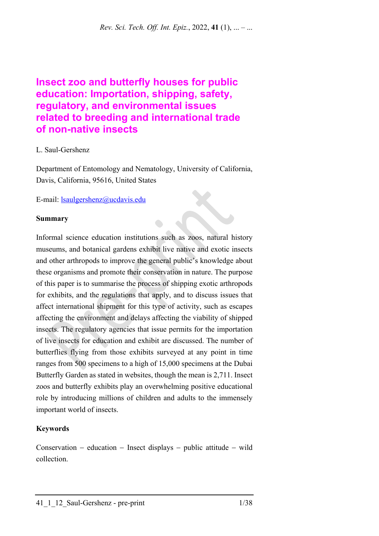*Rev. Sci. Tech. Off. Int. Epiz.*, 2022, **41** (1), ... – ...

# **Insect zoo and butterfly houses for public education: Importation, shipping, safety, regulatory, and environmental issues related to breeding and international trade of non-native insects**

## L. Saul-Gershenz

Department of Entomology and Nematology, University of California, Davis, California, 95616, United States

E-mail: [lsaulgershenz@ucdavis.edu](mailto:lsaulgershenz@ucdavis.edu)

## **Summary**

Informal science education institutions such as zoos, natural history museums, and botanical gardens exhibit live native and exotic insects and other arthropods to improve the general public's knowledge about these organisms and promote their conservation in nature. The purpose of this paper is to summarise the process of shipping exotic arthropods for exhibits, and the regulations that apply, and to discuss issues that affect international shipment for this type of activity, such as escapes affecting the environment and delays affecting the viability of shipped insects. The regulatory agencies that issue permits for the importation of live insects for education and exhibit are discussed. The number of butterflies flying from those exhibits surveyed at any point in time ranges from 500 specimens to a high of 15,000 specimens at the Dubai Butterfly Garden as stated in websites, though the mean is 2,711. Insect zoos and butterfly exhibits play an overwhelming positive educational role by introducing millions of children and adults to the immensely important world of insects.

## **Keywords**

Conservation − education − Insect displays − public attitude − wild collection.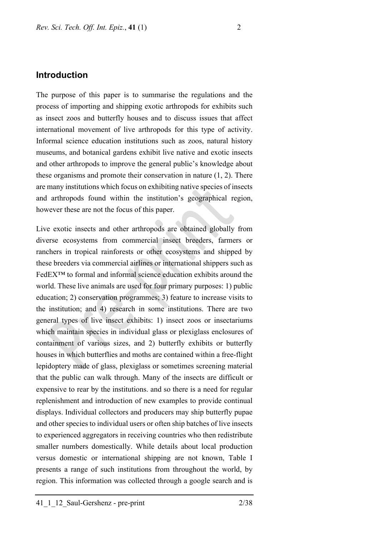## **Introduction**

The purpose of this paper is to summarise the regulations and the process of importing and shipping exotic arthropods for exhibits such as insect zoos and butterfly houses and to discuss issues that affect international movement of live arthropods for this type of activity. Informal science education institutions such as zoos, natural history museums, and botanical gardens exhibit live native and exotic insects and other arthropods to improve the general public's knowledge about these organisms and promote their conservation in nature (1, 2). There are many institutions which focus on exhibiting native species of insects and arthropods found within the institution's geographical region, however these are not the focus of this paper.

Live exotic insects and other arthropods are obtained globally from diverse ecosystems from commercial insect breeders, farmers or ranchers in tropical rainforests or other ecosystems and shipped by these breeders via commercial airlines or international shippers such as FedEX™ to formal and informal science education exhibits around the world. These live animals are used for four primary purposes: 1) public education; 2) conservation programmes; 3) feature to increase visits to the institution; and 4) research in some institutions. There are two general types of live insect exhibits: 1) insect zoos or insectariums which maintain species in individual glass or plexiglass enclosures of containment of various sizes, and 2) butterfly exhibits or butterfly houses in which butterflies and moths are contained within a free-flight lepidoptery made of glass, plexiglass or sometimes screening material that the public can walk through. Many of the insects are difficult or expensive to rear by the institutions. and so there is a need for regular replenishment and introduction of new examples to provide continual displays. Individual collectors and producers may ship butterfly pupae and other species to individual users or often ship batches of live insects to experienced aggregators in receiving countries who then redistribute smaller numbers domestically. While details about local production versus domestic or international shipping are not known, Table I presents a range of such institutions from throughout the world, by region. This information was collected through a google search and is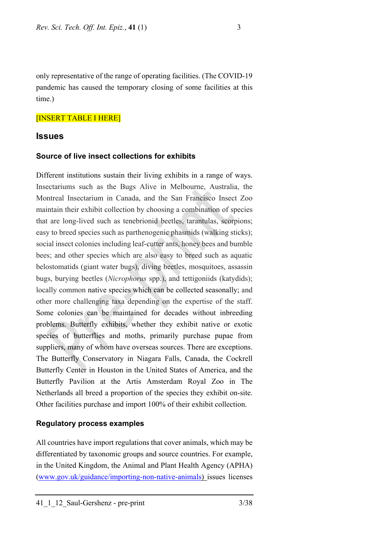only representative of the range of operating facilities. (The COVID-19 pandemic has caused the temporary closing of some facilities at this time.)

## [INSERT TABLE I HERE]

## **Issues**

#### **Source of live insect collections for exhibits**

Different institutions sustain their living exhibits in a range of ways. Insectariums such as the Bugs Alive in Melbourne, Australia, the Montreal Insectarium in Canada, and the San Francisco Insect Zoo maintain their exhibit collection by choosing a combination of species that are long-lived such as tenebrionid beetles, tarantulas, scorpions; easy to breed species such as parthenogenic phasmids (walking sticks); social insect colonies including leaf-cutter ants, honey bees and bumble bees; and other species which are also easy to breed such as aquatic belostomatids (giant water bugs), diving beetles, mosquitoes, assassin bugs, burying beetles (*Nicrophorus* spp.), and tettigoniids (katydids); locally common native species which can be collected seasonally; and other more challenging taxa depending on the expertise of the staff. Some colonies can be maintained for decades without inbreeding problems. Butterfly exhibits, whether they exhibit native or exotic species of butterflies and moths, primarily purchase pupae from suppliers, many of whom have overseas sources. There are exceptions. The Butterfly Conservatory in Niagara Falls, Canada, the Cockrell Butterfly Center in Houston in the United States of America, and the Butterfly Pavilion at the Artis Amsterdam Royal Zoo in The Netherlands all breed a proportion of the species they exhibit on-site. Other facilities purchase and import 100% of their exhibit collection.

#### **Regulatory process examples**

All countries have import regulations that cover animals, which may be differentiated by taxonomic groups and source countries. For example, in the United Kingdom, the Animal and Plant Health Agency (APHA) [\(www.gov.uk/guidance/importing-non-native-animals\)](http://www.gov.uk/guidance/importing-non-native-animals) issues licenses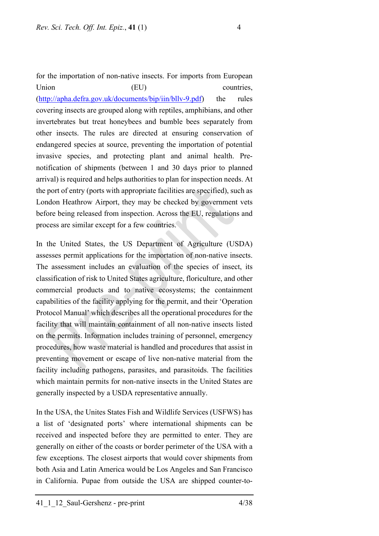for the importation of non-native insects. For imports from European Union (EU) countries, [\(http://apha.defra.gov.uk/documents/bip/iin/bllv-9.pdf\)](http://apha.defra.gov.uk/documents/bip/iin/bllv-9.pdf) the rules covering insects are grouped along with reptiles, amphibians, and other invertebrates but treat honeybees and bumble bees separately from other insects. The rules are directed at ensuring conservation of endangered species at source, preventing the importation of potential invasive species, and protecting plant and animal health. Prenotification of shipments (between 1 and 30 days prior to planned arrival) is required and helps authorities to plan for inspection needs. At the port of entry (ports with appropriate facilities are specified), such as London Heathrow Airport, they may be checked by government vets before being released from inspection. Across the EU, regulations and process are similar except for a few countries.

In the United States, the US Department of Agriculture (USDA) assesses permit applications for the importation of non-native insects. The assessment includes an evaluation of the species of insect, its classification of risk to United States agriculture, floriculture, and other commercial products and to native ecosystems; the containment capabilities of the facility applying for the permit, and their 'Operation Protocol Manual' which describes all the operational procedures for the facility that will maintain containment of all non-native insects listed on the permits. Information includes training of personnel, emergency procedures, how waste material is handled and procedures that assist in preventing movement or escape of live non-native material from the facility including pathogens, parasites, and parasitoids. The facilities which maintain permits for non-native insects in the United States are generally inspected by a USDA representative annually.

In the USA, the Unites States Fish and Wildlife Services (USFWS) has a list of 'designated ports' where international shipments can be received and inspected before they are permitted to enter. They are generally on either of the coasts or border perimeter of the USA with a few exceptions. The closest airports that would cover shipments from both Asia and Latin America would be Los Angeles and San Francisco in California. Pupae from outside the USA are shipped counter-to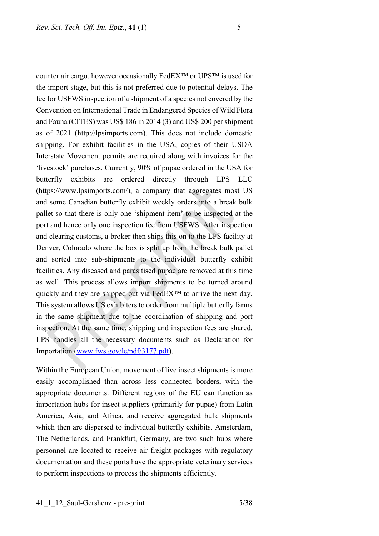counter air cargo, however occasionally FedEX™ or UPS™ is used for the import stage, but this is not preferred due to potential delays. The fee for USFWS inspection of a shipment of a species not covered by the Convention on International Trade in Endangered Species of Wild Flora and Fauna (CITES) was US\$ 186 in 2014 (3) and US\$ 200 per shipment as of 2021 (http://lpsimports.com). This does not include domestic shipping. For exhibit facilities in the USA, copies of their USDA Interstate Movement permits are required along with invoices for the 'livestock' purchases. Currently, 90% of pupae ordered in the USA for butterfly exhibits are ordered directly through LPS LLC (https://www.lpsimports.com/), a company that aggregates most US and some Canadian butterfly exhibit weekly orders into a break bulk pallet so that there is only one 'shipment item' to be inspected at the port and hence only one inspection fee from USFWS. After inspection and clearing customs, a broker then ships this on to the LPS facility at Denver, Colorado where the box is split up from the break bulk pallet and sorted into sub-shipments to the individual butterfly exhibit facilities. Any diseased and parasitised pupae are removed at this time as well. This process allows import shipments to be turned around quickly and they are shipped out via FedEX™ to arrive the next day. This system allows US exhibiters to order from multiple butterfly farms in the same shipment due to the coordination of shipping and port inspection. At the same time, shipping and inspection fees are shared. LPS handles all the necessary documents such as Declaration for Importation [\(www.fws.gov/le/pdf/3177.pdf\)](http://www.fws.gov/le/pdf/3177.pdf).

Within the European Union, movement of live insect shipments is more easily accomplished than across less connected borders, with the appropriate documents. Different regions of the EU can function as importation hubs for insect suppliers (primarily for pupae) from Latin America, Asia, and Africa, and receive aggregated bulk shipments which then are dispersed to individual butterfly exhibits. Amsterdam, The Netherlands, and Frankfurt, Germany, are two such hubs where personnel are located to receive air freight packages with regulatory documentation and these ports have the appropriate veterinary services to perform inspections to process the shipments efficiently.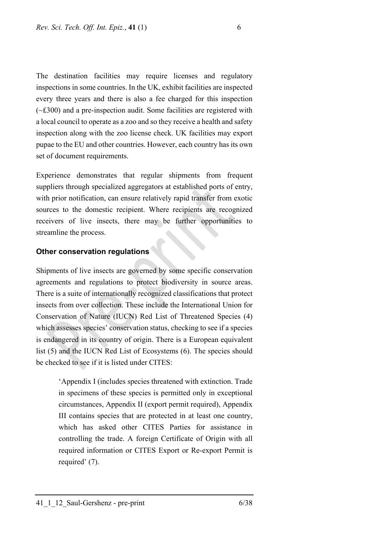The destination facilities may require licenses and regulatory inspections in some countries. In the UK, exhibit facilities are inspected every three years and there is also a fee charged for this inspection (~£300) and a pre-inspection audit. Some facilities are registered with a local council to operate as a zoo and so they receive a health and safety inspection along with the zoo license check. UK facilities may export pupae to the EU and other countries. However, each country has its own set of document requirements.

Experience demonstrates that regular shipments from frequent suppliers through specialized aggregators at established ports of entry, with prior notification, can ensure relatively rapid transfer from exotic sources to the domestic recipient. Where recipients are recognized receivers of live insects, there may be further opportunities to streamline the process.

## **Other conservation regulations**

Shipments of live insects are governed by some specific conservation agreements and regulations to protect biodiversity in source areas. There is a suite of internationally recognized classifications that protect insects from over collection. These include the International Union for Conservation of Nature (IUCN) Red List of Threatened Species (4) which assesses species' conservation status, checking to see if a species is endangered in its country of origin. There is a European equivalent list (5) and the IUCN Red List of Ecosystems (6). The species should be checked to see if it is listed under CITES:

> 'Appendix I (includes species threatened with extinction. Trade in specimens of these species is permitted only in exceptional circumstances, Appendix II (export permit required), Appendix III contains species that are protected in at least one country, which has asked other CITES Parties for assistance in controlling the trade. A foreign Certificate of Origin with all required information or CITES Export or Re-export Permit is required' (7).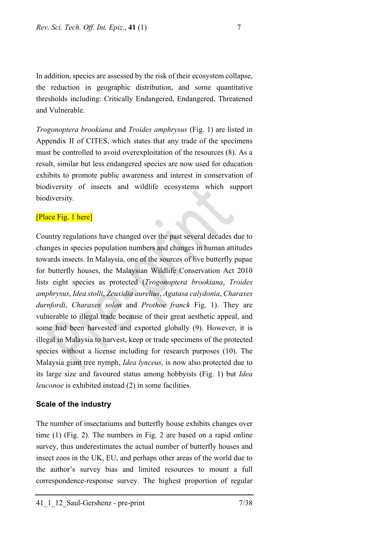In addition, species are assessed by the risk of their ecosystem collapse, the reduction in geographic distribution, and some quantitative thresholds including: Critically Endangered, Endangered, Threatened and Vulnerable.

*Trogonoptera brookiana* and *Troides amphrysus* (Fig. 1) are listed in Appendix II of CITES, which states that any trade of the specimens must be controlled to avoid overexploitation of the resources (8). As a result, similar but less endangered species are now used for education exhibits to promote public awareness and interest in conservation of biodiversity of insects and wildlife ecosystems which support biodiversity.

#### [Place Fig. 1 here]

Country regulations have changed over the past several decades due to changes in species population numbers and changes in human attitudes towards insects. In Malaysia, one of the sources of live butterfly pupae for butterfly houses, the Malaysian Wildlife Conservation Act 2010 lists eight species as protected (*Trogonoptera brookiana*, *Troides amphrysus*, *Idea stolli*, *Zeuxidia aurelius*, *Agatasa calydonia*, *Charaxes durnfordi*, *Charaxes solon* and *Prothoe franck* Fig. 1). They are vulnerable to illegal trade because of their great aesthetic appeal, and some had been harvested and exported globally (9). However, it is illegal in Malaysia to harvest, keep or trade specimens of the protected species without a license including for research purposes (10). The Malaysia giant tree nymph, *Idea lynceus,* is now also protected due to its large size and favoured status among hobbyists (Fig. 1) but *Idea leuconoe* is exhibited instead (2) in some facilities.

### **Scale of the industry**

The number of insectariums and butterfly house exhibits changes over time (1) (Fig. 2). The numbers in Fig. 2 are based on a rapid online survey, thus underestimates the actual number of butterfly houses and insect zoos in the UK, EU, and perhaps other areas of the world due to the author's survey bias and limited resources to mount a full correspondence-response survey. The highest proportion of regular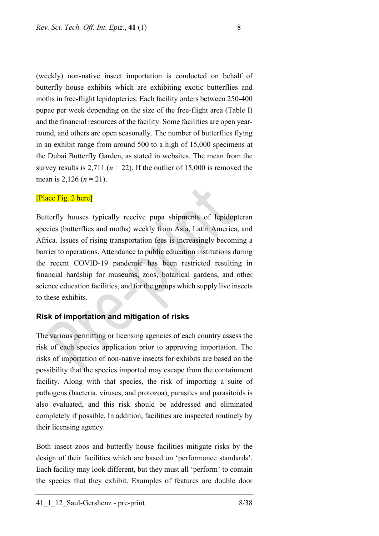(weekly) non-native insect importation is conducted on behalf of butterfly house exhibits which are exhibiting exotic butterflies and moths in free-flight lepidopteries. Each facility orders between 250-400 pupae per week depending on the size of the free-flight area (Table I) and the financial resources of the facility. Some facilities are open yearround, and others are open seasonally. The number of butterflies flying in an exhibit range from around 500 to a high of 15,000 specimens at the Dubai Butterfly Garden, as stated in websites. The mean from the survey results is 2,711 ( $n = 22$ ). If the outlier of 15,000 is removed the mean is 2,126 ( $n = 21$ ).

#### [Place Fig. 2 here]

Butterfly houses typically receive pupa shipments of lepidopteran species (butterflies and moths) weekly from Asia, Latin America, and Africa. Issues of rising transportation fees is increasingly becoming a barrier to operations. Attendance to public education institutions during the recent COVID-19 pandemic has been restricted resulting in financial hardship for museums, zoos, botanical gardens, and other science education facilities, and for the groups which supply live insects to these exhibits.

## **Risk of importation and mitigation of risks**

The various permitting or licensing agencies of each country assess the risk of each species application prior to approving importation. The risks of importation of non-native insects for exhibits are based on the possibility that the species imported may escape from the containment facility. Along with that species, the risk of importing a suite of pathogens (bacteria, viruses, and protozoa), parasites and parasitoids is also evaluated, and this risk should be addressed and eliminated completely if possible. In addition, facilities are inspected routinely by their licensing agency.

Both insect zoos and butterfly house facilities mitigate risks by the design of their facilities which are based on 'performance standards'. Each facility may look different, but they must all 'perform' to contain the species that they exhibit. Examples of features are double door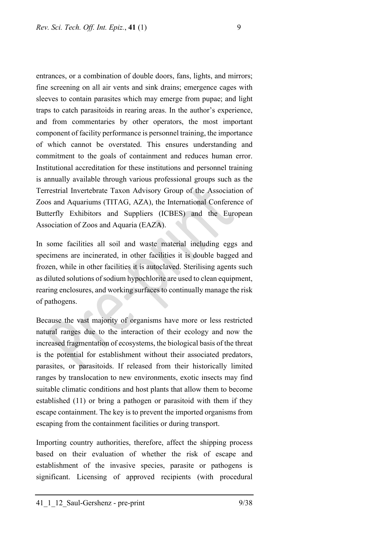entrances, or a combination of double doors, fans, lights, and mirrors; fine screening on all air vents and sink drains; emergence cages with sleeves to contain parasites which may emerge from pupae; and light traps to catch parasitoids in rearing areas. In the author's experience, and from commentaries by other operators, the most important component of facility performance is personnel training, the importance of which cannot be overstated. This ensures understanding and commitment to the goals of containment and reduces human error. Institutional accreditation for these institutions and personnel training is annually available through various professional groups such as the Terrestrial Invertebrate Taxon Advisory Group of the Association of Zoos and Aquariums (TITAG, AZA), the International Conference of Butterfly Exhibitors and Suppliers (ICBES) and the European Association of Zoos and Aquaria (EAZA).

In some facilities all soil and waste material including eggs and specimens are incinerated, in other facilities it is double bagged and frozen, while in other facilities it is autoclaved. Sterilising agents such as diluted solutions of sodium hypochlorite are used to clean equipment, rearing enclosures, and working surfaces to continually manage the risk of pathogens.

Because the vast majority of organisms have more or less restricted natural ranges due to the interaction of their ecology and now the increased fragmentation of ecosystems, the biological basis of the threat is the potential for establishment without their associated predators, parasites, or parasitoids. If released from their historically limited ranges by translocation to new environments, exotic insects may find suitable climatic conditions and host plants that allow them to become established (11) or bring a pathogen or parasitoid with them if they escape containment. The key is to prevent the imported organisms from escaping from the containment facilities or during transport.

Importing country authorities, therefore, affect the shipping process based on their evaluation of whether the risk of escape and establishment of the invasive species, parasite or pathogens is significant. Licensing of approved recipients (with procedural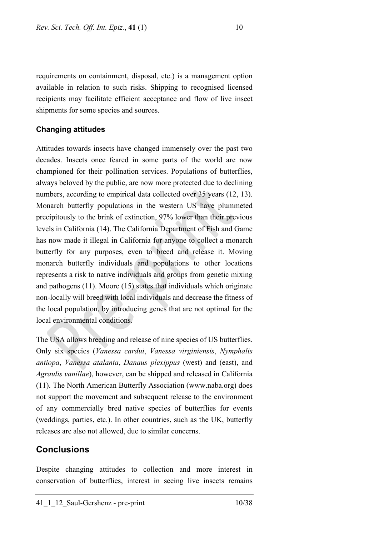requirements on containment, disposal, etc.) is a management option available in relation to such risks. Shipping to recognised licensed recipients may facilitate efficient acceptance and flow of live insect shipments for some species and sources.

## **Changing attitudes**

Attitudes towards insects have changed immensely over the past two decades. Insects once feared in some parts of the world are now championed for their pollination services. Populations of butterflies, always beloved by the public, are now more protected due to declining numbers, according to empirical data collected over 35 years (12, 13). Monarch butterfly populations in the western US have plummeted precipitously to the brink of extinction, 97% lower than their previous levels in California (14). The California Department of Fish and Game has now made it illegal in California for anyone to collect a monarch butterfly for any purposes, even to breed and release it. Moving monarch butterfly individuals and populations to other locations represents a risk to native individuals and groups from genetic mixing and pathogens (11). Moore (15) states that individuals which originate non-locally will breed with local individuals and decrease the fitness of the local population, by introducing genes that are not optimal for the local environmental conditions.

The USA allows breeding and release of nine species of US butterflies. Only six species (*Vanessa cardui*, *Vanessa virginiensis*, *Nymphalis antiopa*, *Vanessa atalanta*, *Danaus plexippus* (west) and (east), and *Agraulis vanillae*), however, can be shipped and released in California (11). The North American Butterfly Association (www.naba.org) does not support the movement and subsequent release to the environment of any commercially bred native species of butterflies for events (weddings, parties, etc.). In other countries, such as the UK, butterfly releases are also not allowed, due to similar concerns.

## **Conclusions**

Despite changing attitudes to collection and more interest in conservation of butterflies, interest in seeing live insects remains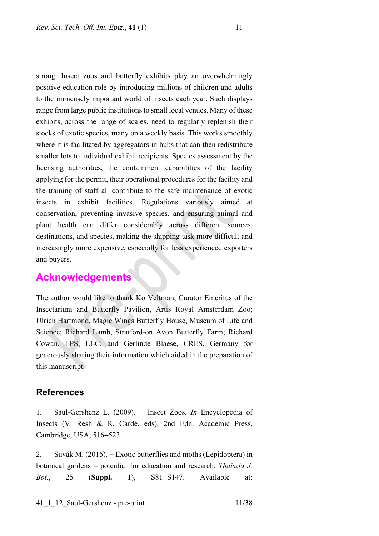strong. Insect zoos and butterfly exhibits play an overwhelmingly positive education role by introducing millions of children and adults to the immensely important world of insects each year. Such displays range from large public institutions to small local venues. Many of these exhibits, across the range of scales, need to regularly replenish their stocks of exotic species, many on a weekly basis. This works smoothly where it is facilitated by aggregators in hubs that can then redistribute smaller lots to individual exhibit recipients. Species assessment by the licensing authorities, the containment capabilities of the facility applying for the permit, their operational procedures for the facility and the training of staff all contribute to the safe maintenance of exotic insects in exhibit facilities. Regulations variously aimed at conservation, preventing invasive species, and ensuring animal and plant health can differ considerably across different sources, destinations, and species, making the shipping task more difficult and increasingly more expensive, especially for less experienced exporters and buyers.

# **Acknowledgements**

The author would like to thank Ko Veltman, Curator Emeritus of the Insectarium and Butterfly Pavilion, Artis Royal Amsterdam Zoo; Ulrich Hartmond, Magic Wings Butterfly House, Museum of Life and Science; Richard Lamb, Stratford-on Avon Butterfly Farm; Richard Cowan, LPS, LLC; and Gerlinde Blaese, CRES, Germany for generously sharing their information which aided in the preparation of this manuscript.

## **References**

1. Saul-Gershenz L. (2009). − Insect Zoos. *In* Encyclopedia of Insects (V. Resh & R. Cardé, eds), 2nd Edn. Academic Press, Cambridge, USA, 516−523.

2. Suvák M. (2015). − Exotic butterflies and moths (Lepidoptera) in botanical gardens – potential for education and research. *Thaiszia J. Bot.*, 25 (**Suppl. 1**), S81−S147. Available at: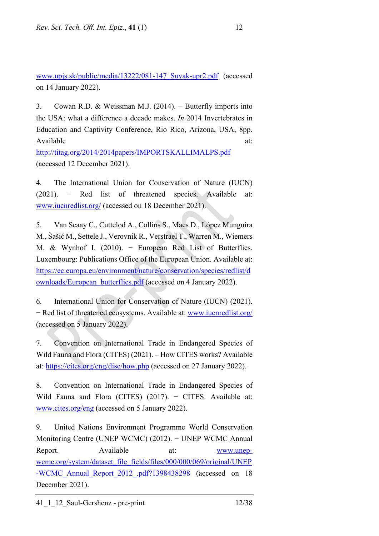[www.upjs.sk/public/media/13222/081-147\\_Suvak-upr2.pdf](http://www.upjs.sk/public/media/13222/081-147_Suvak-upr2.pdf) (accessed on 14 January 2022).

3. Cowan R.D. & Weissman M.J. (2014). − Butterfly imports into the USA: what a difference a decade makes. *In* 2014 Invertebrates in Education and Captivity Conference, Rio Rico, Arizona, USA, 8pp. Available at: and a set of the set of the set of the set of the set of the set of the set of the set of the set of the set of the set of the set of the set of the set of the set of the set of the set of the set of the set <http://titag.org/2014/2014papers/IMPORTSKALLIMALPS.pdf>

(accessed 12 December 2021).

4. The International Union for Conservation of Nature (IUCN) (2021). – Red list of threatened species. Available at: [www.iucnredlist.org/](http://www.iucnredlist.org/) (accessed on 18 December 2021).

5. Van Seaay C., Cuttelod A., Collins S., Maes D., López Munguira M., Šašić M., Settele J., Verovnik R., Verstrael T., Warren M., Wiemers M. & Wynhof I. (2010). − European Red List of Butterflies. Luxembourg: Publications Office of the European Union. Available at: [https://ec.europa.eu/environment/nature/conservation/species/redlist/d](https://ec.europa.eu/environment/nature/conservation/species/redlist/downloads/European_butterflies.pdf) [ownloads/European\\_butterflies.pdf](https://ec.europa.eu/environment/nature/conservation/species/redlist/downloads/European_butterflies.pdf) (accessed on 4 January 2022).

6. International Union for Conservation of Nature (IUCN) (2021). − Red list of threatened ecosystems. Available at: [www.iucnredlist.org/](http://www.iucnredlist.org/) (accessed on 5 January 2022).

7. Convention on International Trade in Endangered Species of Wild Fauna and Flora (CITES) (2021). – How CITES works? Available at:<https://cites.org/eng/disc/how.php> (accessed on 27 January 2022).

8. Convention on International Trade in Endangered Species of Wild Fauna and Flora (CITES)  $(2017)$ . - CITES. Available at: [www.cites.org/eng](http://www.cites.org/eng) (accessed on 5 January 2022).

9. United Nations Environment Programme World Conservation Monitoring Centre (UNEP WCMC) (2012). − UNEP WCMC Annual Report. Available at: [www.unep](http://www.unep-wcmc.org/system/dataset_file_fields/files/000/000/069/original/UNEP-WCMC_Annual_Report_2012_.pdf?1398438298)[wcmc.org/system/dataset\\_file\\_fields/files/000/000/069/original/UNEP](http://www.unep-wcmc.org/system/dataset_file_fields/files/000/000/069/original/UNEP-WCMC_Annual_Report_2012_.pdf?1398438298) [-WCMC\\_Annual\\_Report\\_2012\\_.pdf?1398438298](http://www.unep-wcmc.org/system/dataset_file_fields/files/000/000/069/original/UNEP-WCMC_Annual_Report_2012_.pdf?1398438298) (accessed on 18 December 2021).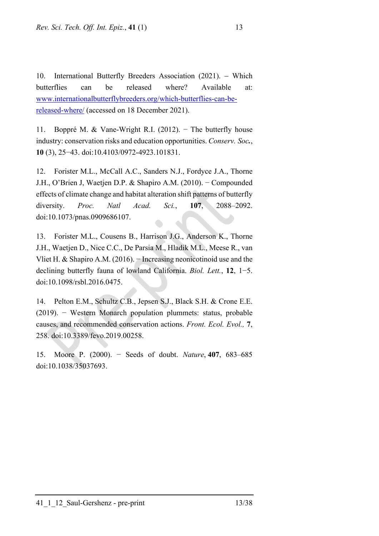10. International Butterfly Breeders Association (2021). − Which butterflies can be released where? Available at: [www.internationalbutterflybreeders.org/which-butterflies-can-be](http://www.internationalbutterflybreeders.org/which-butterflies-can-be-released-where/)[released-where/](http://www.internationalbutterflybreeders.org/which-butterflies-can-be-released-where/) (accessed on 18 December 2021).

11. Boppré M. & Vane-Wright R.I. (2012). − The butterfly house industry: conservation risks and education opportunities. *Conserv. Soc.*, **10** (3), 25−43. doi:10.4103/0972-4923.101831.

12. Forister M.L., McCall A.C., Sanders N.J., Fordyce J.A., Thorne J.H., O'Brien J, Waetjen D.P. & Shapiro A.M. (2010). − Compounded effects of climate change and habitat alteration shift patterns of butterfly diversity. *Proc. Natl Acad. Sci.*, **107**, 2088–2092. doi:10.1073/pnas.0909686107.

13. Forister M.L., Cousens B., Harrison J.G., Anderson K., Thorne J.H., Waetjen D., Nice C.C., De Parsia M., Hladik M.L., Meese R., van Vliet H. & Shapiro A.M. (2016). − Increasing neonicotinoid use and the declining butterfly fauna of lowland California. *Biol. Lett.*, **12**, 1−5. doi:10.1098/rsbl.2016.0475.

14. Pelton E.M., Schultz C.B., Jepsen S.J., Black S.H. & Crone E.E. (2019). − Western Monarch population plummets: status, probable causes, and recommended conservation actions. *Front. Ecol. Evol.,* **7**, 258. doi:10.3389/fevo.2019.00258.

15. Moore P. (2000). − Seeds of doubt. *Nature*, **407**, 683–685 doi:10.1038/35037693.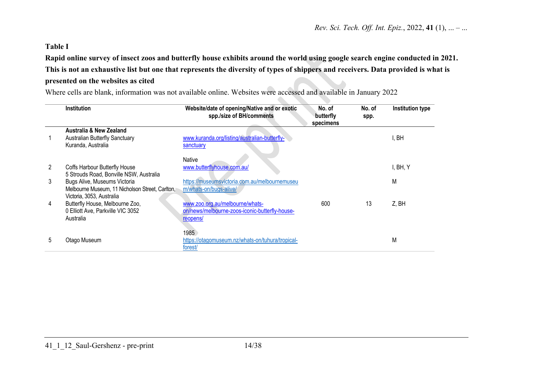## **Table I**

**Rapid online survey of insect zoos and butterfly house exhibits around the world using google search engine conducted in 2021. This is not an exhaustive list but one that represents the diversity of types of shippers and receivers. Data provided is what is presented on the websites as cited**

Where cells are blank, information was not available online. Websites were accessed and available in January 2022

|   | <b>Institution</b>                              | Website/date of opening/Native and or exotic<br>spp./size of BH/comments | No. of<br>butterfly<br>specimens | No. of<br>spp. | Institution type |
|---|-------------------------------------------------|--------------------------------------------------------------------------|----------------------------------|----------------|------------------|
|   | <b>Australia &amp; New Zealand</b>              |                                                                          |                                  |                |                  |
|   | Australian Butterfly Sanctuary                  | www.kuranda.org/listing/australian-butterfly-                            |                                  |                | I, BH            |
|   | Kuranda, Australia                              | sanctuary                                                                |                                  |                |                  |
|   |                                                 |                                                                          |                                  |                |                  |
|   |                                                 | <b>Native</b>                                                            |                                  |                |                  |
| 2 | Coffs Harbour Butterfly House                   | www.butterflyhouse.com.au/                                               |                                  |                | I, BH, Y         |
|   | 5 Strouds Road, Bonville NSW, Australia         |                                                                          |                                  |                |                  |
| 3 | Bugs Alive, Museums Victoria                    | https://museumsvictoria.com.au/melbournemuseu                            |                                  |                | Μ                |
|   | Melbourne Museum, 11 Nicholson Street, Carlton, | m/whats-on/bugs-alive/                                                   |                                  |                |                  |
|   | Victoria, 3053, Australia                       |                                                                          |                                  |                |                  |
| 4 | Butterfly House, Melbourne Zoo,                 | www.zoo.org.au/melbourne/whats-                                          | 600                              | 13             | Z, BH            |
|   | 0 Elliott Ave, Parkville VIC 3052               | on/news/melbourne-zoos-iconic-butterfly-house-                           |                                  |                |                  |
|   | Australia                                       | reopens/                                                                 |                                  |                |                  |
|   |                                                 |                                                                          |                                  |                |                  |
|   |                                                 | 1985                                                                     |                                  |                |                  |
| 5 | Otago Museum                                    | https://otagomuseum.nz/whats-on/tuhura/tropical-                         |                                  |                | Μ                |
|   |                                                 | forest/                                                                  |                                  |                |                  |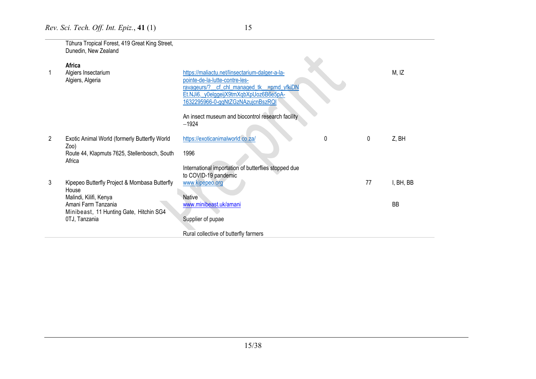|   | Tühura Tropical Forest, 419 Great King Street,<br>Dunedin, New Zealand |                                                                                  |    |           |
|---|------------------------------------------------------------------------|----------------------------------------------------------------------------------|----|-----------|
|   | Africa                                                                 |                                                                                  |    |           |
|   | Algiers Insectarium<br>Algiers, Algeria                                | https://maliactu.net/linsectarium-dalger-a-la-<br>pointe-de-la-lutte-contre-les- |    | M, IZ     |
|   |                                                                        | ravageurs/?<br>cf_chl_managed_tk__=pmd_yfkiDN                                    |    |           |
|   |                                                                        | Et.NJi6. y0elggeijX9tmXqbXpUoz6B6e5pA-<br>1632295966-0-gqNtZGzNAzujcnBszRQI      |    |           |
|   |                                                                        | An insect museum and biocontrol research facility<br>$-1924$                     |    |           |
| 2 | Exotic Animal World (formerly Butterfly World<br>$Zoo$ )               | https://exoticanimalworld.co.za/<br>0                                            | 0  | Z, BH     |
|   | Route 44, Klapmuts 7625, Stellenbosch, South<br>Africa                 | 1996                                                                             |    |           |
|   |                                                                        | International importation of butterflies stopped due<br>to COVID-19 pandemic     |    |           |
| 3 | Kipepeo Butterfly Project & Mombasa Butterfly<br>House                 | www.kipepeo.org                                                                  | 77 | I, BH, BB |
|   | Malindi, Kilifi, Kenya                                                 | <b>Native</b>                                                                    |    |           |
|   | Amani Farm Tanzania<br>Minibeast, 11 Hunting Gate, Hitchin SG4         | www.minibeast.uk/amani                                                           |    | <b>BB</b> |
|   | 0TJ, Tanzania                                                          | Supplier of pupae                                                                |    |           |
|   |                                                                        | Rural collective of butterfly farmers                                            |    |           |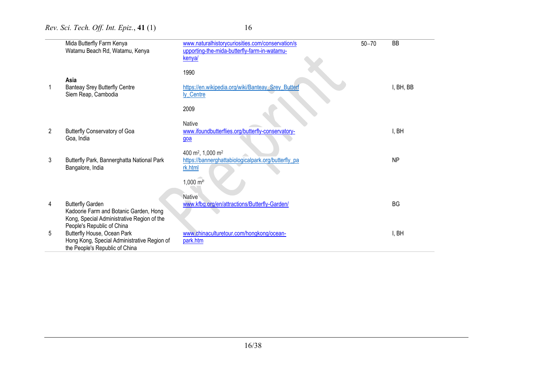|                | Mida Butterfly Farm Kenya<br>Watamu Beach Rd, Watamu, Kenya                          | www.naturalhistorycuriosities.com/conservation/s<br>upporting-the-mida-butterfly-farm-in-watamu- | $50 - 70$ | BB        |
|----------------|--------------------------------------------------------------------------------------|--------------------------------------------------------------------------------------------------|-----------|-----------|
|                |                                                                                      | kenya/                                                                                           |           |           |
|                | Asia                                                                                 | 1990                                                                                             |           |           |
|                | <b>Banteay Srey Butterfly Centre</b><br>Siem Reap, Cambodia                          | https://en.wikipedia.org/wiki/Banteay_Srey_Butterf<br>ly Centre                                  |           | I, BH, BB |
|                |                                                                                      | 2009                                                                                             |           |           |
|                |                                                                                      | <b>Native</b>                                                                                    |           |           |
| $\overline{2}$ | <b>Butterfly Conservatory of Goa</b><br>Goa, India                                   | www.ifoundbutterflies.org/butterfly-conservatory-<br>$q$ oa                                      |           | I, BH     |
| 3              | Butterfly Park, Bannerghatta National Park                                           | 400 m <sup>2</sup> , 1,000 m <sup>2</sup><br>https://bannerghattabiologicalpark.org/butterfly_pa |           | <b>NP</b> |
|                | Bangalore, India                                                                     | rk.html                                                                                          |           |           |
|                |                                                                                      | $1,000 \, \text{m}^2$                                                                            |           |           |
|                |                                                                                      | <b>Native</b>                                                                                    |           |           |
| 4              | <b>Butterfly Garden</b>                                                              | www.kfbg.org/en/attractions/Butterfly-Garden/                                                    |           | <b>BG</b> |
|                | Kadoorie Farm and Botanic Garden, Hong<br>Kong, Special Administrative Region of the |                                                                                                  |           |           |
|                | People's Republic of China                                                           |                                                                                                  |           |           |
| 5              | Butterfly House, Ocean Park<br>Hong Kong, Special Administrative Region of           | www.chinaculturetour.com/hongkong/ocean-<br>park.htm                                             |           | I, BH     |
|                | the People's Republic of China                                                       |                                                                                                  |           |           |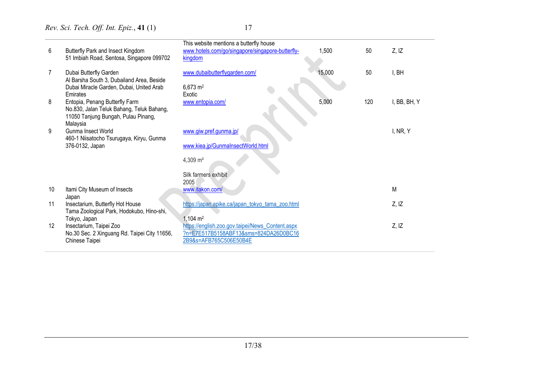| 6  | Butterfly Park and Insect Kingdom<br>51 Imbiah Road, Sentosa, Singapore 099702        | This website mentions a butterfly house<br>www.hotels.com/go/singapore/singapore-butterfly-<br>kingdom | 1,500  | 50  | Z, IZ        |
|----|---------------------------------------------------------------------------------------|--------------------------------------------------------------------------------------------------------|--------|-----|--------------|
| 7  | Dubai Butterfly Garden                                                                | www.dubaibutterflygarden.com/                                                                          | 15,000 | 50  | I, BH        |
|    | Al Barsha South 3, Dubailand Area, Beside<br>Dubai Miracle Garden, Dubai, United Arab | $6,673 \; \text{m}^2$                                                                                  |        |     |              |
|    | Emirates                                                                              | Exotic                                                                                                 |        |     |              |
| 8  | Entopia, Penang Butterfly Farm                                                        | www.entopia.com/                                                                                       | 5,000  | 120 | I, BB, BH, Y |
|    | No.830, Jalan Teluk Bahang, Teluk Bahang,<br>11050 Tanjung Bungah, Pulau Pinang,      |                                                                                                        |        |     |              |
|    | Malaysia                                                                              |                                                                                                        |        |     |              |
| 9  | Gunma Insect World                                                                    | www.giw.pref.gunma.jp/                                                                                 |        |     | I, NR, Y     |
|    | 460-1 Niisatocho Tsurugaya, Kiryu, Gunma                                              |                                                                                                        |        |     |              |
|    | 376-0132, Japan                                                                       | www.kiea.jp/GunmaInsectWorld.html                                                                      |        |     |              |
|    |                                                                                       | 4,309 m <sup>2</sup>                                                                                   |        |     |              |
|    |                                                                                       | Silk farmers exhibit                                                                                   |        |     |              |
|    |                                                                                       | 2005                                                                                                   |        |     |              |
| 10 | Itami City Museum of Insects                                                          | www.itakon.com/                                                                                        |        |     | M            |
|    | Japan                                                                                 |                                                                                                        |        |     |              |
| 11 | Insectarium, Butterfly Hot House                                                      | https://japan.apike.ca/japan_tokyo_tama_zoo.html                                                       |        |     | Z, IZ        |
|    | Tama Zoological Park, Hodokubo, Hino-shi,                                             |                                                                                                        |        |     |              |
|    | Tokyo, Japan                                                                          | $1,104 \text{ m}^2$                                                                                    |        |     |              |
| 12 | Insectarium, Taipei Zoo                                                               | https://english.zoo.gov.taipei/News Content.aspx                                                       |        |     | Z, IZ        |
|    | No.30 Sec. 2 Xinguang Rd. Taipei City 11656,                                          | ?n=E7E517B5158ABF13&sms=824DA26D0BC16                                                                  |        |     |              |
|    | Chinese Taipei                                                                        | 2B9&s=AFB765C506E50B4E                                                                                 |        |     |              |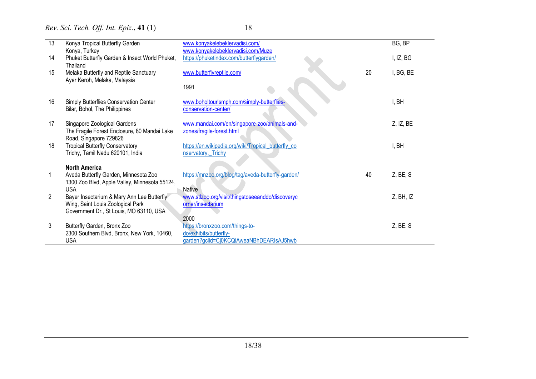| 13 | Konya Tropical Butterfly Garden                                                                      | www.konyakelebeklervadisi.com/                                            |    | BG, BP      |
|----|------------------------------------------------------------------------------------------------------|---------------------------------------------------------------------------|----|-------------|
|    | Konya, Turkey                                                                                        | www.konyakelebeklervadisi.com/Muze                                        |    |             |
| 14 | Phuket Butterfly Garden & Insect World Phuket,<br>Thailand                                           | https://phuketindex.com/butterflygarden/                                  |    | I, IZ, BG   |
| 15 | Melaka Butterfly and Reptile Sanctuary<br>Ayer Keroh, Melaka, Malaysia                               | www.butterflyreptile.com/                                                 | 20 | I, BG, BE   |
|    |                                                                                                      | 1991                                                                      |    |             |
| 16 | Simply Butterflies Conservation Center<br>Bilar, Bohol, The Philippines                              | www.boholtourismph.com/simply-butterflies-<br>conservation-center/        |    | I, BH       |
| 17 | Singapore Zoological Gardens<br>The Fragile Forest Enclosure, 80 Mandai Lake                         | www.mandai.com/en/singapore-zoo/animals-and-<br>zones/fragile-forest.html |    | Z, IZ, BE   |
| 18 | Road, Singapore 729826<br><b>Tropical Butterfly Conservatory</b><br>Trichy, Tamil Nadu 620101, India | https://en.wikipedia.org/wiki/Tropical_butterfly_co<br>nservatory, Trichy |    | I, BH       |
|    | <b>North America</b>                                                                                 |                                                                           |    |             |
|    | Aveda Butterfly Garden, Minnesota Zoo<br>1300 Zoo Blvd, Apple Valley, Minnesota 55124,               | https://mnzoo.org/blog/tag/aveda-butterfly-garden/                        | 40 | Z, BE, S    |
|    | <b>USA</b>                                                                                           | <b>Native</b>                                                             |    |             |
| 2  | Bayer Insectarium & Mary Ann Lee Butterfly                                                           | www.stlzoo.org/visit/thingstoseeanddo/discoveryc                          |    | Z, BH, IZ   |
|    | Wing, Saint Louis Zoological Park<br>Government Dr., St Louis, MO 63110, USA                         | orner/insectarium                                                         |    |             |
|    |                                                                                                      | 2000                                                                      |    |             |
| 3  | Butterfly Garden, Bronx Zoo                                                                          | https://bronxzoo.com/things-to-                                           |    | $Z$ , BE. S |
|    | 2300 Southern Blvd, Bronx, New York, 10460,                                                          | do/exhibits/butterfly-                                                    |    |             |
|    | <b>USA</b>                                                                                           | garden?gclid=Cj0KCQiAweaNBhDEARIsAJ5hwb                                   |    |             |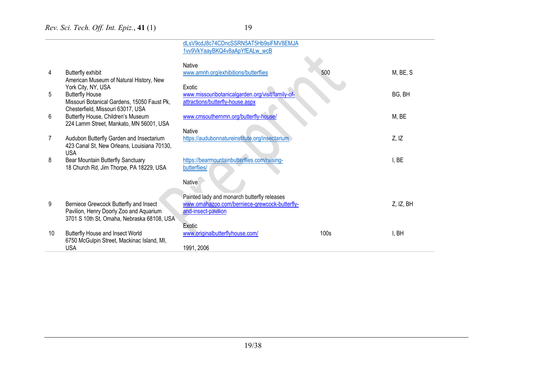|    |                                                                                                                                 | dLsV9cdJ8c74CDncSSRN5AT5Hb9siFMV8EMJA<br>1vv9VkYaayBKQ4v8aApYfEALw_wcB                                              |                  |           |
|----|---------------------------------------------------------------------------------------------------------------------------------|---------------------------------------------------------------------------------------------------------------------|------------------|-----------|
| 4  | Butterfly exhibit<br>American Museum of Natural History, New                                                                    | Native<br>www.amnh.org/exhibitions/butterflies                                                                      | 500              | M, BE, S  |
| 5  | York City, NY, USA<br><b>Butterfly House</b><br>Missouri Botanical Gardens, 15050 Faust Pk,                                     | Exotic<br>www.missouribotanicalgarden.org/visit/family-of-<br>attractions/butterfly-house.aspx                      |                  | BG, BH    |
| 6  | Chesterfield, Missouri 63017, USA<br>Butterfly House, Children's Museum<br>224 Lamm Street, Mankato, MN 56001, USA              | www.cmsouthernmn.org/butterfly-house/                                                                               |                  | M, BE     |
|    | Audubon Butterfly Garden and Insectarium<br>423 Canal St, New Orleans, Louisiana 70130,<br><b>USA</b>                           | <b>Native</b><br>https://audubonnatureinstitute.org/insectarium                                                     |                  | Z, IZ     |
| 8  | Bear Mountain Butterfly Sanctuary<br>18 Church Rd, Jim Thorpe, PA 18229, USA                                                    | https://bearmountainbutterflies.com/raising-<br>butterflies/                                                        |                  | I, BE     |
|    |                                                                                                                                 | Native                                                                                                              |                  |           |
| 9  | Berniece Grewcock Butterfly and Insect<br>Pavilion, Henry Doorly Zoo and Aquarium<br>3701 S 10th St, Omaha, Nebraska 68108, USA | Painted lady and monarch butterfly releases<br>www.omahazoo.com/berniece-grewcock-butterfly-<br>and-insect-pavilion |                  | Z, IZ, BH |
| 10 | Butterfly House and Insect World<br>6750 McGulpin Street, Mackinac Island, MI,<br><b>USA</b>                                    | Exotic<br>www.originalbutterflyhouse.com/<br>1991, 2006                                                             | 100 <sub>s</sub> | I, BH     |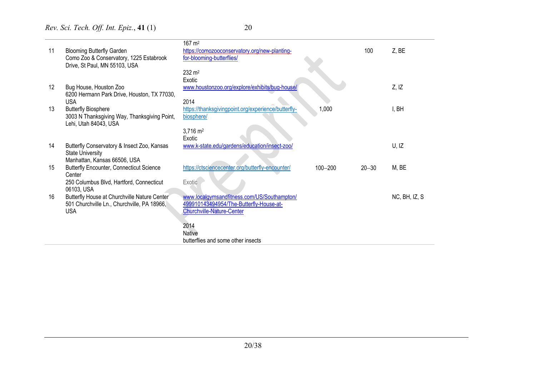| 11 | <b>Blooming Butterfly Garden</b>                       | $167 \text{ m}^2$<br>https://comozooconservatory.org/new-planting- |             | 100       | Z, BE         |
|----|--------------------------------------------------------|--------------------------------------------------------------------|-------------|-----------|---------------|
|    | Como Zoo & Conservatory, 1225 Estabrook                | for-blooming-butterflies/                                          |             |           |               |
|    | Drive, St Paul, MN 55103, USA                          | $232 \, \text{m}^2$                                                |             |           |               |
|    |                                                        | Exotic                                                             |             |           |               |
| 12 | Bug House, Houston Zoo                                 | www.houstonzoo.org/explore/exhibits/bug-house/                     |             |           | Z, IZ         |
|    | 6200 Hermann Park Drive, Houston, TX 77030,            |                                                                    |             |           |               |
|    | <b>USA</b>                                             | 2014                                                               |             |           |               |
| 13 | <b>Butterfly Biosphere</b>                             | https://thanksgivingpoint.org/experience/butterfly-                | 1,000       |           | I, BH         |
|    | 3003 N Thanksgiving Way, Thanksgiving Point,           | biosphere/                                                         |             |           |               |
|    | Lehi, Utah 84043, USA                                  |                                                                    |             |           |               |
|    |                                                        | $3,716 \text{ m}^2$                                                |             |           |               |
|    |                                                        | Exotic                                                             |             |           |               |
| 14 | Butterfly Conservatory & Insect Zoo, Kansas            | www.k-state.edu/gardens/education/insect-zoo/                      |             |           | U, IZ         |
|    | <b>State University</b>                                |                                                                    |             |           |               |
|    | Manhattan, Kansas 66506, USA                           |                                                                    |             |           |               |
| 15 | <b>Butterfly Encounter, Connecticut Science</b>        | https://ctsciencecenter.org/butterfly-encounter/                   | $100 - 200$ | $20 - 30$ | M, BE         |
|    | Center                                                 |                                                                    |             |           |               |
|    | 250 Columbus Blvd, Hartford, Connecticut<br>06103, USA | Exotic                                                             |             |           |               |
| 16 | Butterfly House at Churchville Nature Center           | www.localgymsandfitness.com/US/Southampton/                        |             |           | NC, BH, IZ, S |
|    | 501 Churchville Ln., Churchville, PA 18966,            | 499910143494954/The-Butterfly-House-at-                            |             |           |               |
|    | <b>USA</b>                                             | <b>Churchville-Nature-Center</b>                                   |             |           |               |
|    |                                                        |                                                                    |             |           |               |
|    |                                                        | 2014                                                               |             |           |               |
|    |                                                        | <b>Native</b>                                                      |             |           |               |
|    |                                                        | butterflies and some other insects                                 |             |           |               |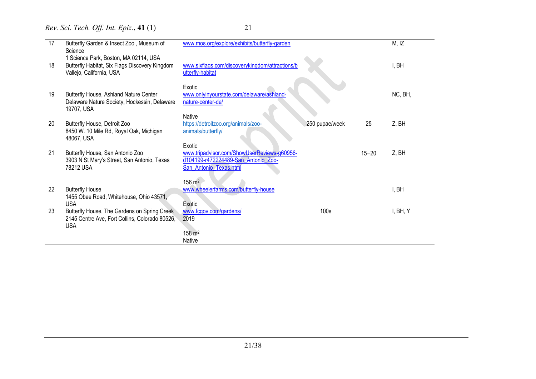| 17 | Butterfly Garden & Insect Zoo, Museum of<br>Science                                                                 | www.mos.org/explore/exhibits/butterfly-garden                                                                          |                |           | M, IZ    |
|----|---------------------------------------------------------------------------------------------------------------------|------------------------------------------------------------------------------------------------------------------------|----------------|-----------|----------|
| 18 | 1 Science Park, Boston, MA 02114, USA<br>Butterfly Habitat, Six Flags Discovery Kingdom<br>Vallejo, California, USA | www.sixflags.com/discoverykingdom/attractions/b<br>utterfly-habitat                                                    |                |           | I, BH    |
| 19 | Butterfly House, Ashland Nature Center<br>Delaware Nature Society, Hockessin, Delaware<br>19707, USA                | Exotic<br>www.onlyinyourstate.com/delaware/ashland-<br>nature-center-de/                                               |                |           | NC, BH,  |
| 20 | Butterfly House, Detroit Zoo<br>8450 W. 10 Mile Rd, Royal Oak, Michigan<br>48067, USA                               | Native<br>https://detroitzoo.org/animals/zoo-<br>animals/butterfly/                                                    | 250 pupae/week | 25        | Z, BH    |
| 21 | Butterfly House, San Antonio Zoo<br>3903 N St Mary's Street, San Antonio, Texas<br>78212 USA                        | Exotic<br>www.tripadvisor.com/ShowUserReviews-g60956-<br>d104199-r472224489-San Antonio Zoo-<br>San_Antonio_Texas.html |                | $15 - 20$ | Z, BH    |
| 22 | <b>Butterfly House</b><br>1455 Obee Road, Whitehouse, Ohio 43571,<br><b>USA</b>                                     | $156 \; \text{m}^2$<br>www.wheelerfarms.com/butterfly-house<br>Exotic                                                  |                |           | I, BH    |
| 23 | Butterfly House, The Gardens on Spring Creek<br>2145 Centre Ave, Fort Collins, Colorado 80526,<br><b>USA</b>        | www.fcgov.com/gardens/<br>2019<br>$158 \; \text{m}^2$<br>Native                                                        | 100s           |           | I, BH, Y |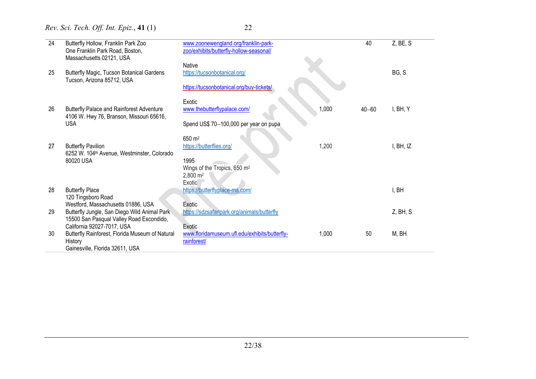| $\overline{24}$ | Butterfly Hollow, Franklin Park Zoo<br>One Franklin Park Road, Boston,<br>Massachusetts 02121, USA | www.zoonewengland.org/franklin-park-<br>zoo/exhibits/butterfly-hollow-seasonal/ |       | 40        | Z, BE, S  |
|-----------------|----------------------------------------------------------------------------------------------------|---------------------------------------------------------------------------------|-------|-----------|-----------|
|                 |                                                                                                    | <b>Native</b>                                                                   |       |           |           |
| 25              | Butterfly Magic, Tucson Botanical Gardens<br>Tucson, Arizona 85712, USA                            | https://tucsonbotanical.org/                                                    |       |           | BG, S     |
|                 |                                                                                                    | https://tucsonbotanical.org/buy-tickets/                                        |       |           |           |
|                 |                                                                                                    |                                                                                 |       |           |           |
|                 |                                                                                                    | Exotic                                                                          |       |           |           |
| 26              | <b>Butterfly Palace and Rainforest Adventure</b>                                                   | www.thebutterflypalace.com/                                                     | 1,000 | $40 - 60$ | I, BH, Y  |
|                 | 4106 W. Hwy 76, Branson, Missouri 65616,                                                           |                                                                                 |       |           |           |
|                 | <b>USA</b>                                                                                         | Spend US\$ 70-100,000 per year on pupa                                          |       |           |           |
|                 |                                                                                                    |                                                                                 |       |           |           |
|                 |                                                                                                    | 650 m <sup>2</sup>                                                              |       |           |           |
| 27              | <b>Butterfly Pavilion</b><br>6252 W. 104 <sup>th</sup> Avenue, Westminster, Colorado               | https://butterflies.org/                                                        | 1,200 |           | I, BH, IZ |
|                 | 80020 USA                                                                                          | 1995                                                                            |       |           |           |
|                 |                                                                                                    | Wings of the Tropics, 650 m <sup>2</sup>                                        |       |           |           |
|                 |                                                                                                    | 2,800 m <sup>2</sup>                                                            |       |           |           |
|                 |                                                                                                    | Exotic                                                                          |       |           |           |
| 28              | <b>Butterfly Place</b>                                                                             | https://butterflyplace-ma.com/                                                  |       |           | I, BH     |
|                 | 120 Tingsboro Road                                                                                 |                                                                                 |       |           |           |
| 29              | Westford, Massachusetts 01886, USA                                                                 | Exotic                                                                          |       |           |           |
|                 | Butterfly Jungle, San Diego Wild Animal Park<br>15500 San Pasqual Valley Road Escondido,           | https://sdzsafaripark.org/animals/butterfly                                     |       |           | Z, BH, S  |
|                 | California 92027-7017, USA                                                                         | Exotic                                                                          |       |           |           |
| 30              | Butterfly Rainforest, Florida Museum of Natural                                                    | www.floridamuseum.ufl.edu/exhibits/butterfly-                                   | 1,000 | 50        | M, BH     |
|                 | History                                                                                            | rainforest/                                                                     |       |           |           |
|                 | Gainesville, Florida 32611, USA                                                                    |                                                                                 |       |           |           |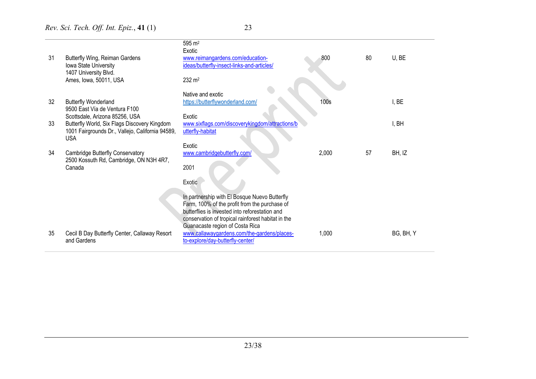| 31 | Butterfly Wing, Reiman Gardens<br>Iowa State University<br>1407 University Blvd.                                                                 | 595 m <sup>2</sup><br>Exotic<br>www.reimangardens.com/education-<br>ideas/butterfly-insect-links-and-articles/                                                                                                                                                                           | 800   | 80 | U, BE     |
|----|--------------------------------------------------------------------------------------------------------------------------------------------------|------------------------------------------------------------------------------------------------------------------------------------------------------------------------------------------------------------------------------------------------------------------------------------------|-------|----|-----------|
|    | Ames, Iowa, 50011, USA                                                                                                                           | 232 m <sup>2</sup>                                                                                                                                                                                                                                                                       |       |    |           |
| 32 | <b>Butterfly Wonderland</b><br>9500 East Vía de Ventura F100                                                                                     | Native and exotic<br>https://butterflywonderland.com/                                                                                                                                                                                                                                    | 100s  |    | I, BE     |
| 33 | Scottsdale, Arizona 85256, USA<br>Butterfly World, Six Flags Discovery Kingdom<br>1001 Fairgrounds Dr., Vallejo, California 94589,<br><b>USA</b> | Exotic<br>www.sixflags.com/discoverykingdom/attractions/b<br>utterfly-habitat                                                                                                                                                                                                            |       |    | I, BH     |
| 34 | <b>Cambridge Butterfly Conservatory</b><br>2500 Kossuth Rd, Cambridge, ON N3H 4R7,<br>Canada                                                     | Exotic<br>www.cambridgebutterfly.com/<br>2001                                                                                                                                                                                                                                            | 2,000 | 57 | BH, IZ    |
|    |                                                                                                                                                  | Exotic                                                                                                                                                                                                                                                                                   |       |    |           |
| 35 | Cecil B Day Butterfly Center, Callaway Resort                                                                                                    | In partnership with El Bosque Nuevo Butterfly<br>Farm, 100% of the profit from the purchase of<br>butterflies is invested into reforestation and<br>conservation of tropical rainforest habitat in the<br>Guanacaste region of Costa Rica<br>www.callawaygardens.com/the-gardens/places- | 1,000 |    | BG, BH, Y |
|    | and Gardens                                                                                                                                      | to-explore/day-butterfly-center/                                                                                                                                                                                                                                                         |       |    |           |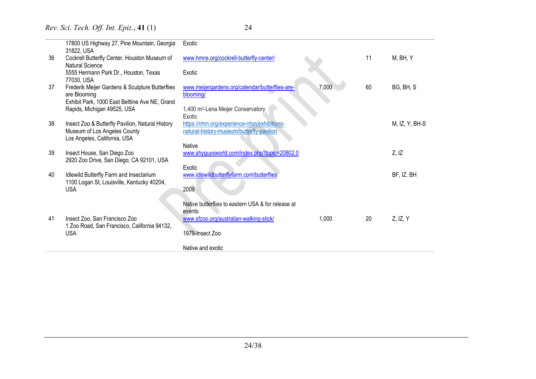|    | 17800 US Highway 27, Pine Mountain, Georgia<br>31822, USA                                                         | Exotic                                                                                   |       |    |                |
|----|-------------------------------------------------------------------------------------------------------------------|------------------------------------------------------------------------------------------|-------|----|----------------|
| 36 | Cockrell Butterfly Center, Houston Museum of<br><b>Natural Science</b>                                            | www.hmns.org/cockrell-butterfly-center/                                                  |       | 11 | M, BH, Y       |
|    | 5555 Hermann Park Dr., Houston, Texas<br>77030, USA                                                               | Exotic                                                                                   |       |    |                |
| 37 | Frederik Meijer Gardens & Sculpture Butterflies<br>are Blooming<br>Exhibit Park, 1000 East Beltline Ave NE, Grand | www.meijergardens.org/calendar/butterflies-are-<br>blooming/                             | 7,000 | 60 | BG, BH, S      |
|    | Rapids, Michigan 49525, USA                                                                                       | 1,400 m <sup>2</sup> -Lena Meijer Conservatory<br>Exotic                                 |       |    |                |
| 38 | Insect Zoo & Butterfly Pavilion, Natural History<br>Museum of Los Angeles County<br>Los Angeles, California, USA  | https://nhm.org/experience-nhm/exhibitions-<br>natural-history-museum/butterfly-pavilion |       |    | M, IZ, Y, BH-S |
|    |                                                                                                                   | <b>Native</b>                                                                            |       |    |                |
| 39 | Insect House, San Diego Zoo<br>2920 Zoo Drive, San Diego, CA 92101, USA                                           | www.shyguysworld.com/index.php?topic=20802.0                                             |       |    | Z, IZ          |
| 40 | Idlewild Butterfly Farm and Insectarium                                                                           | Exotic<br>www.idlewildbutterflyfarm.com/butterflies                                      |       |    | BF, IZ. BH     |
|    | 1100 Logan St, Louisville, Kentucky 40204,                                                                        |                                                                                          |       |    |                |
|    | <b>USA</b>                                                                                                        | 2009                                                                                     |       |    |                |
|    |                                                                                                                   | Native butterflies to eastern USA & for release at<br>events                             |       |    |                |
| 41 | Insect Zoo, San Francisco Zoo                                                                                     | www.sfzoo.org/australian-walking-stick/                                                  | 1,000 | 20 | $Z$ , IZ, Y    |
|    | 1 Zoo Road, San Francisco, California 94132,<br><b>USA</b>                                                        | 1979-Insect Zoo                                                                          |       |    |                |
|    |                                                                                                                   | Native and exotic                                                                        |       |    |                |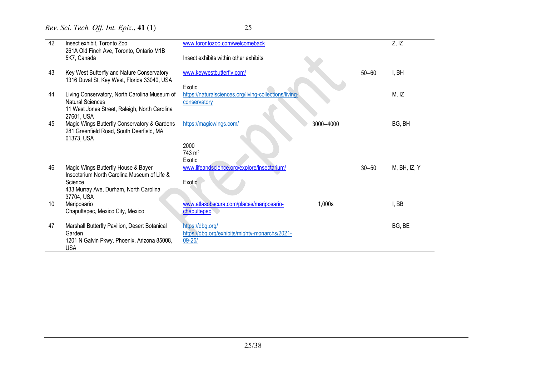| 42 | Insect exhibit, Toronto Zoo<br>261A Old Finch Ave, Toronto, Ontario M1B                                | www.torontozoo.com/welcomeback                                   |           |           | Z, IZ        |
|----|--------------------------------------------------------------------------------------------------------|------------------------------------------------------------------|-----------|-----------|--------------|
|    | 5K7, Canada                                                                                            | Insect exhibits within other exhibits                            |           |           |              |
| 43 | Key West Butterfly and Nature Conservatory<br>1316 Duval St, Key West, Florida 33040, USA              | www.keywestbutterfly.com/                                        |           | $50 - 60$ | I, BH        |
| 44 | Living Conservatory, North Carolina Museum of                                                          | Exotic<br>https://naturalsciences.org/living-collections/living- |           |           | M, IZ        |
|    | <b>Natural Sciences</b>                                                                                | conservatory                                                     |           |           |              |
|    | 11 West Jones Street, Raleigh, North Carolina<br>27601, USA                                            |                                                                  |           |           |              |
| 45 | Magic Wings Butterfly Conservatory & Gardens<br>281 Greenfield Road, South Deerfield, MA<br>01373, USA | https://magicwings.com/                                          | 3000-4000 |           | BG, BH       |
|    |                                                                                                        | 2000<br>743 m <sup>2</sup>                                       |           |           |              |
|    |                                                                                                        | Exotic                                                           |           |           |              |
| 46 | Magic Wings Butterfly House & Bayer<br>Insectarium North Carolina Museum of Life &                     | www.lifeandscience.org/explore/insectarium/                      |           | $30 - 50$ | M, BH, IZ, Y |
|    | Science                                                                                                | Exotic                                                           |           |           |              |
|    | 433 Murray Ave, Durham, North Carolina<br>37704, USA                                                   |                                                                  |           |           |              |
| 10 | Mariposario<br>Chapultepec, Mexico City, Mexico                                                        | www.atlasobscura.com/places/mariposario-<br>chapultepec          | 1,000s    |           | I, BB        |
|    |                                                                                                        |                                                                  |           |           |              |
| 47 | Marshall Butterfly Pavilion, Desert Botanical                                                          | https://dbg.org/                                                 |           |           | BG, BE       |
|    | Garden<br>1201 N Galvin Pkwy, Phoenix, Arizona 85008,                                                  | https://dbg.org/exhibits/mighty-monarchs/2021-<br>$09 - 25/$     |           |           |              |
|    | <b>USA</b>                                                                                             |                                                                  |           |           |              |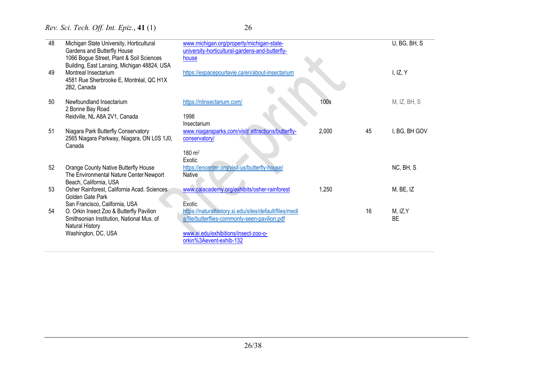| ۰. |        |
|----|--------|
|    | ×<br>I |

| 48 | Michigan State University, Horticultural                                                                               | www.michigan.org/property/michigan-state-                           |       |    | U, BG, BH, S  |
|----|------------------------------------------------------------------------------------------------------------------------|---------------------------------------------------------------------|-------|----|---------------|
|    | Gardens and Butterfly House<br>1066 Bogue Street, Plant & Soil Sciences<br>Building, East Lansing, Michigan 48824, USA | university-horticultural-gardens-and-butterfly-<br>house            |       |    |               |
| 49 | Montreal Insectarium<br>4581 Rue Sherbrooke E, Montréal, QC H1X<br>2B2, Canada                                         | https://espacepourlavie.ca/en/about-insectarium                     |       |    | I, IZ, $Y$    |
| 50 | Newfoundland Insectarium<br>2 Bonne Bay Road                                                                           | https://nlinsectarium.com/                                          | 100s  |    | M, IZ, BH, S  |
|    | Reidville, NL A8A 2V1, Canada                                                                                          | 1998<br>Insectarium                                                 |       |    |               |
| 51 | Niagara Park Butterfly Conservatory<br>2565 Niagara Parkway, Niagara, ON L0S 1J0,<br>Canada                            | www.niagaraparks.com/visit/ attractions/butterfly-<br>conservatory/ | 2,000 | 45 | I, BG, BH GOV |
|    |                                                                                                                        | 180 m <sup>2</sup><br>Exotic                                        |       |    |               |
| 52 | Orange County Native Butterfly House<br>The Environmental Nature Center Newport<br>Beach, California, USA              | https://encenter.org/visit-us/butterfly-house/<br><b>Native</b>     |       |    | NC, BH, S     |
| 53 | Osher Rainforest, California Acad. Sciences<br>Golden Gate Park                                                        | www.calacademy.org/exhibits/osher-rainforest                        | 1,250 |    | M, BE, IZ     |
| 54 | San Francisco, California, USA<br>O. Orkin Insect Zoo & Butterfly Pavilion                                             | Exotic<br>https://naturalhistory.si.edu/sites/default/files/medi    |       | 16 | M, IZ, Y      |
|    | Smithsonian Institution, National Mus. of<br>Natural History                                                           | a/file/butterflies-commonly-seen-pavilion.pdf                       |       |    | <b>BE</b>     |
|    | Washington, DC, USA                                                                                                    | www.si.edu/exhibitions/insect-zoo-o-<br>orkin%3Aevent-exhib-132     |       |    |               |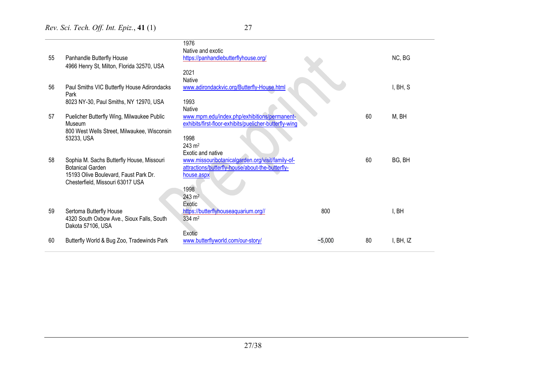|    |                                                                           | 1976<br>Native and exotic                              |          |    |           |
|----|---------------------------------------------------------------------------|--------------------------------------------------------|----------|----|-----------|
| 55 | Panhandle Butterfly House                                                 | https://panhandlebutterflyhouse.org/                   |          |    | NC, BG    |
|    | 4966 Henry St, Milton, Florida 32570, USA                                 |                                                        |          |    |           |
|    |                                                                           | 2021                                                   |          |    |           |
|    |                                                                           | <b>Native</b>                                          |          |    |           |
| 56 | Paul Smiths VIC Butterfly House Adirondacks<br>Park                       | www.adirondackvic.org/Butterfly-House.html             |          |    | I, BH, S  |
|    | 8023 NY-30, Paul Smiths, NY 12970, USA                                    | 1993                                                   |          |    |           |
|    |                                                                           | Native                                                 |          |    |           |
| 57 | Puelicher Butterfly Wing, Milwaukee Public                                | www.mpm.edu/index.php/exhibitions/permanent-           |          | 60 | M, BH     |
|    | Museum                                                                    | exhibits/first-floor-exhibits/puelicher-butterfly-wing |          |    |           |
|    | 800 West Wells Street, Milwaukee, Wisconsin                               |                                                        |          |    |           |
|    | 53233, USA                                                                | 1998                                                   |          |    |           |
|    |                                                                           | $243 \text{ m}^2$                                      |          |    |           |
|    |                                                                           | Exotic and native                                      |          |    |           |
| 58 | Sophia M. Sachs Butterfly House, Missouri                                 | www.missouribotanicalgarden.org/visit/family-of-       |          | 60 | BG, BH    |
|    | <b>Botanical Garden</b>                                                   | attractions/butterfly-house/about-the-butterfly-       |          |    |           |
|    | 15193 Olive Boulevard, Faust Park Dr.<br>Chesterfield, Missouri 63017 USA | house.aspx                                             |          |    |           |
|    |                                                                           | 1998                                                   |          |    |           |
|    |                                                                           | $243 \, \text{m}^2$                                    |          |    |           |
|    |                                                                           | Exotic                                                 |          |    |           |
| 59 | Sertoma Butterfly House                                                   | https://butterflyhouseaquarium.org//                   | 800      |    | I, BH     |
|    | 4320 South Oxbow Ave., Sioux Falls, South                                 | 334 m <sup>2</sup>                                     |          |    |           |
|    | Dakota 57106, USA                                                         |                                                        |          |    |           |
|    |                                                                           | Exotic                                                 |          |    |           |
| 60 | Butterfly World & Bug Zoo, Tradewinds Park                                | www.butterflyworld.com/our-story/                      | $-5,000$ | 80 | I, BH, IZ |
|    |                                                                           |                                                        |          |    |           |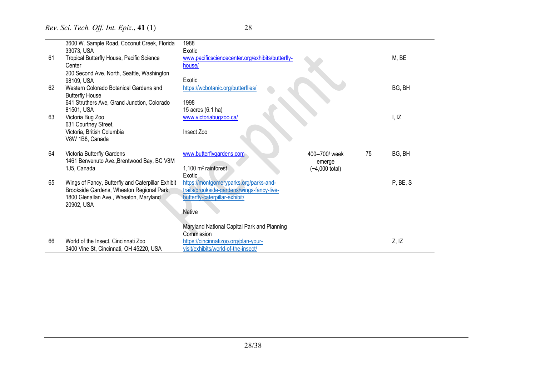|    | 3600 W. Sample Road, Coconut Creek, Florida<br>33073, USA                                      | 1988<br>Exotic                                                                       |                          |    |          |
|----|------------------------------------------------------------------------------------------------|--------------------------------------------------------------------------------------|--------------------------|----|----------|
| 61 | Tropical Butterfly House, Pacific Science<br>Center                                            | www.pacificsciencecenter.org/exhibits/butterfly-<br>house/                           |                          |    | M, BE    |
|    | 200 Second Ave. North, Seattle, Washington<br>98109, USA                                       | Exotic                                                                               |                          |    |          |
| 62 | Western Colorado Botanical Gardens and<br><b>Butterfly House</b>                               | https://wcbotanic.org/butterflies/                                                   |                          |    | BG, BH   |
|    | 641 Struthers Ave, Grand Junction, Colorado                                                    | 1998                                                                                 |                          |    |          |
| 63 | 81501, USA<br>Victoria Bug Zoo                                                                 | 15 acres (6.1 ha)<br>www.victoriabugzoo.ca/                                          |                          |    | I, IZ    |
|    | 631 Courtney Street,                                                                           |                                                                                      |                          |    |          |
|    | Victoria, British Columbia<br>V8W 1B8, Canada                                                  | Insect Zoo                                                                           |                          |    |          |
| 64 | Victoria Butterfly Gardens                                                                     | www.butterflygardens.com                                                             | 400-700/week             | 75 | BG, BH   |
|    | 1461 Benvenuto Ave., Brentwood Bay, BC V8M                                                     |                                                                                      | emerge                   |    |          |
|    | 1J5, Canada                                                                                    | 1,100 m <sup>2</sup> rainforest<br>Exotic                                            | $(-4,000 \text{ total})$ |    |          |
| 65 | Wings of Fancy, Butterfly and Caterpillar Exhibit<br>Brookside Gardens, Wheaton Regional Park, | https://montgomeryparks.org/parks-and-<br>trails/brookside-gardens/wings-fancy-live- |                          |    | P, BE, S |
|    | 1800 Glenallan Ave., Wheaton, Maryland                                                         | butterfly-caterpillar-exhibit/                                                       |                          |    |          |
|    | 20902, USA                                                                                     | Native                                                                               |                          |    |          |
|    |                                                                                                |                                                                                      |                          |    |          |
|    |                                                                                                | Maryland National Capital Park and Planning<br>Commission                            |                          |    |          |
| 66 | World of the Insect, Cincinnati Zoo                                                            | https://cincinnatizoo.org/plan-your-                                                 |                          |    | Z, IZ    |
|    | 3400 Vine St, Cincinnati, OH 45220, USA                                                        | visit/exhibits/world-of-the-insect/                                                  |                          |    |          |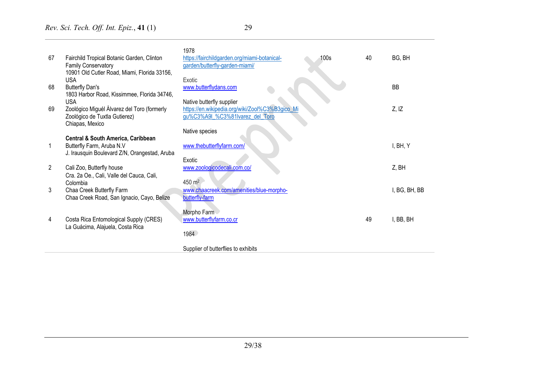| 67 | Fairchild Tropical Botanic Garden, Clinton<br><b>Family Conservatory</b><br>10901 Old Cutler Road, Miami, Florida 33156, | 1978<br>100s<br>https://fairchildgarden.org/miami-botanical-<br>garden/butterfly-garden-miami/ | 40 | BG, BH        |
|----|--------------------------------------------------------------------------------------------------------------------------|------------------------------------------------------------------------------------------------|----|---------------|
|    | <b>USA</b>                                                                                                               | Exotic                                                                                         |    |               |
| 68 | <b>Butterfly Dan's</b>                                                                                                   | www.butterflydans.com                                                                          |    | <b>BB</b>     |
|    | 1803 Harbor Road, Kissimmee, Florida 34746,<br><b>USA</b>                                                                | Native butterfly supplier                                                                      |    |               |
| 69 | Zoológico Miguél Álvarez del Toro (formerly                                                                              | https://en.wikipedia.org/wiki/Zool%C3%B3gico_Mi                                                |    | Z, IZ         |
|    | Zoológico de Tuxtla Gutierez)                                                                                            | gu%C3%A9I_%C3%81Ivarez_del_Toro                                                                |    |               |
|    | Chiapas, Mexico                                                                                                          | Native species                                                                                 |    |               |
|    | <b>Central &amp; South America, Caribbean</b>                                                                            |                                                                                                |    |               |
|    | Butterfly Farm, Aruba N.V                                                                                                | www.thebutterflyfarm.com/                                                                      |    | I, BH, Y      |
|    | J. Irausquin Boulevard Z/N, Orangestad, Aruba                                                                            | Exotic                                                                                         |    |               |
| 2  | Cali Zoo, Butterfly house                                                                                                | www.zoologicodecali.com.co/                                                                    |    | Z, BH         |
|    | Cra. 2a Oe., Cali, Valle del Cauca, Cali,<br>Colombia                                                                    | 450 m <sup>2</sup>                                                                             |    |               |
| 3  | Chaa Creek Butterfly Farm                                                                                                | www.chaacreek.com/amenities/blue-morpho-                                                       |    | I, BG, BH, BB |
|    | Chaa Creek Road, San Ignacio, Cayo, Belize                                                                               | butterfly-farm                                                                                 |    |               |
|    |                                                                                                                          | Morpho Farm                                                                                    |    |               |
| 4  | Costa Rica Entomological Supply (CRES)                                                                                   | www.butterflyfarm.co.cr                                                                        | 49 | I, BB, BH     |
|    | La Guácima, Alajuela, Costa Rica                                                                                         |                                                                                                |    |               |
|    |                                                                                                                          | 1984                                                                                           |    |               |
|    |                                                                                                                          | Supplier of butterflies to exhibits                                                            |    |               |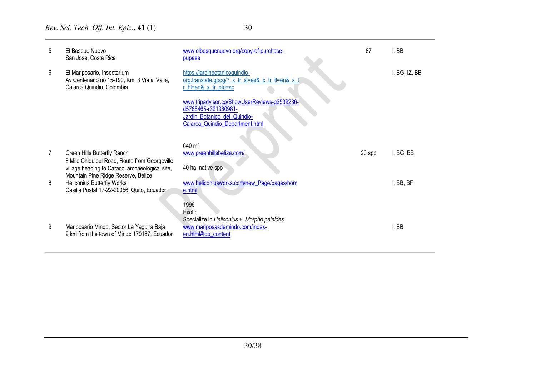| 5 | El Bosque Nuevo<br>San Jose, Costa Rica                                                                                | www.elbosquenuevo.org/copy-of-purchase-<br>pupaes                                                                                       | 87     | , BB          |
|---|------------------------------------------------------------------------------------------------------------------------|-----------------------------------------------------------------------------------------------------------------------------------------|--------|---------------|
| 6 | El Mariposario, Insectarium<br>Av Centenario no 15-190, Km. 3 Via al Valle,<br>Calarcá Quindio, Colombia               | https://jardinbotanicoquindio-<br>org.translate.goog/?_x_tr_sl=es&_x_tr_tl=en&_x_t<br>r_hl=en&_x_tr_pto=sc                              |        | I, BG, IZ, BB |
|   |                                                                                                                        | www.tripadvisor.co/ShowUserReviews-g2539236-<br>d5788465-r321380981-<br>Jardin_Botanico_del_Quindio-<br>Calarca_Quindio_Department.html |        |               |
|   | Green Hills Butterfly Ranch                                                                                            | 640 m <sup>2</sup><br>www.greenhillsbelize.com/                                                                                         | 20 spp | I, BG, BB     |
|   | 8 Mile Chiquibul Road, Route from Georgeville<br>village heading to Caracol archaeological site,                       | 40 ha, native spp                                                                                                                       |        |               |
| 8 | Mountain Pine Ridge Reserve, Belize<br><b>Heliconius Butterfly Works</b><br>Casilla Postal 17-22-20056, Quito, Ecuador | www.heliconiusworks.com/new_Page/pages/hom<br>e.html                                                                                    |        | I, BB, BF     |
| 9 | Mariposario Mindo, Sector La Yaguira Baja<br>2 km from the town of Mindo 170167, Ecuador                               | 1996<br>Exotic<br>Specialize in Heliconius + Morpho peleides<br>www.mariposasdemindo.com/index-<br>en.html#top_content                  |        | , BB          |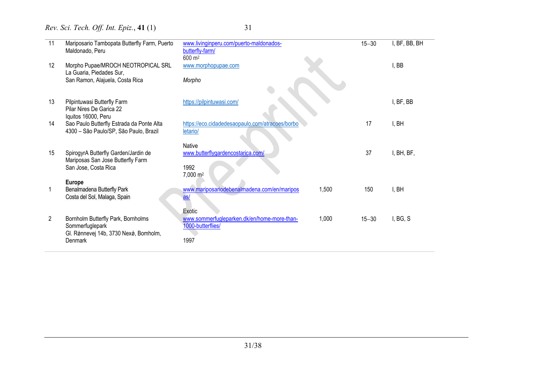| . .                      |  |
|--------------------------|--|
| ×.<br>۰,<br>I<br>×<br>۰. |  |

| 11             | Mariposario Tambopata Butterfly Farm, Puerto                                                              | www.livinginperu.com/puerto-maldonados-                                                     | $15 - 30$ | I, BF, BB, BH |
|----------------|-----------------------------------------------------------------------------------------------------------|---------------------------------------------------------------------------------------------|-----------|---------------|
|                | Maldonado, Peru                                                                                           | butterfly-farm/<br>600 m <sup>2</sup>                                                       |           |               |
| 12             | Morpho Pupae/MROCH NEOTROPICAL SRL<br>La Guaria, Piedades Sur,                                            | www.morphopupae.com                                                                         |           | I, BB         |
|                | San Ramon, Alajuela, Costa Rica                                                                           | Morpho                                                                                      |           |               |
| 13             | Pilpintuwasi Butterfly Farm<br>Pilar Nires De Garica 22<br>Iquitos 16000, Peru                            | https://pilpintuwasi.com/                                                                   |           | I, BF, BB     |
| 14             | Sao Paulo Butterfly Estrada da Ponte Alta<br>4300 - São Paulo/SP, São Paulo, Brazil                       | https://eco.cidadedesaopaulo.com/atracoes/borbo<br>letario/                                 | 17        | I, BH         |
| 15             | SpirogyrA Butterfly Garden/Jardin de<br>Mariposas San Jose Butterfly Farm                                 | <b>Native</b><br>www.butterflygardencostarica.com/                                          | 37        | I, BH, BF,    |
|                | San Jose, Costa Rica                                                                                      | 1992<br>7,000 m <sup>2</sup>                                                                |           |               |
|                | <b>Europe</b><br>Benalmadena Butterfly Park<br>Costa del Sol, Malaga, Spain                               | 1,500<br>www.mariposariodebenalmadena.com/en/maripos<br>as/                                 | 150       | I, BH         |
| $\overline{2}$ | Bornholm Butterfly Park, Bornholms<br>Sommerfuglepark<br>Gl. Rønnevej 14b, 3730 Nexø, Bomholm,<br>Denmark | Exotic<br>1,000<br>www.sommerfugleparken.dk/en/home-more-than-<br>1000-butterflies/<br>1997 | $15 - 30$ | I, BG, S      |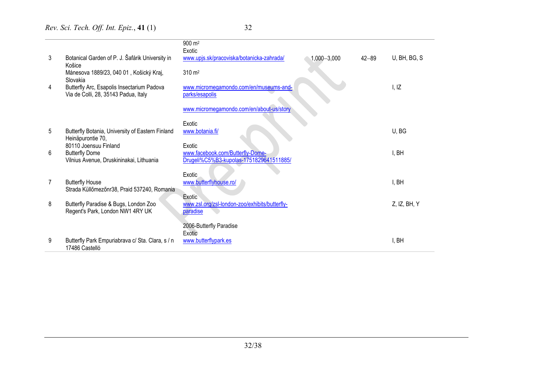|   |                                                                                    | $900 \; \text{m}^2$<br>Exotic                            |                 |           |              |
|---|------------------------------------------------------------------------------------|----------------------------------------------------------|-----------------|-----------|--------------|
| 3 | Botanical Garden of P. J. Šafárik University in<br>Košice                          | www.upjs.sk/pracoviska/botanicka-zahrada/                | $1,000 - 3,000$ | $42 - 89$ | U, BH, BG, S |
|   | Mánesova 1889/23, 040 01, Košický Kraj,<br>Slovakia                                | $310 \; \text{m}^2$                                      |                 |           |              |
| 4 | Butterfly Arc, Esapolis Insectarium Padova<br>Via de Colli, 28, 35143 Padua, Italy | www.micromegamondo.com/en/museums-and-<br>parks/esapolis |                 |           | I, IZ        |
|   |                                                                                    | www.micromegamondo.com/en/about-us/story                 |                 |           |              |
|   |                                                                                    | Exotic                                                   |                 |           |              |
| 5 | Butterfly Botania, University of Eastern Finland<br>Heinäpurontie 70,              | www.botania.fi/                                          |                 |           | U, BG        |
|   | 80110 Joensuu Finland                                                              | Exotic                                                   |                 |           |              |
| 6 | <b>Butterfly Dome</b>                                                              | www.facebook.com/Butterfly-Dome-                         |                 |           | I, BH        |
|   | Vilnius Avenue, Druskininakai, Lithuania                                           | Drugeli%C5%B3-kupolas-1751829641511885/                  |                 |           |              |
|   |                                                                                    | Exotic                                                   |                 |           |              |
|   | <b>Butterfly House</b>                                                             | www.butterflyhouse.ro/                                   |                 |           | I, BH        |
|   | Strada Küllőmezőnr38, Praid 537240, Romania                                        |                                                          |                 |           |              |
| 8 | Butterfly Paradise & Bugs, London Zoo                                              | Exotic<br>www.zsl.org/zsl-london-zoo/exhibits/butterfly- |                 |           | Z, IZ, BH, Y |
|   | Regent's Park, London NW1 4RY UK                                                   | paradise                                                 |                 |           |              |
|   |                                                                                    |                                                          |                 |           |              |
|   |                                                                                    | 2006-Butterfly Paradise<br>Exotic                        |                 |           |              |
| 9 | Butterfly Park Empuriabrava c/ Sta. Clara, s / n                                   | www.butterflypark.es                                     |                 |           | I, BH        |
|   | 17486 Castelló                                                                     |                                                          |                 |           |              |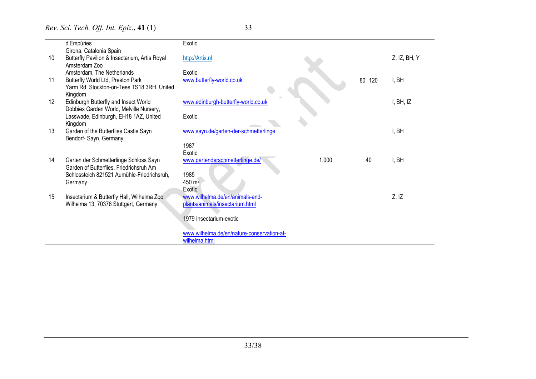|    | d'Empúries                                    | Exotic                                     |            |                 |
|----|-----------------------------------------------|--------------------------------------------|------------|-----------------|
|    | Girona, Catalonia Spain                       |                                            |            |                 |
| 10 | Butterfly Pavilion & Insectarium, Artis Royal | http://Artis.nl                            |            | $Z$ , IZ, BH, Y |
|    | Amsterdam Zoo                                 |                                            |            |                 |
|    | Amsterdam, The Netherlands                    | Exotic                                     |            |                 |
| 11 | Butterfly World Ltd, Preston Park             | www.butterfly-world.co.uk                  | $80 - 120$ | I, BH           |
|    | Yarm Rd, Stockton-on-Tees TS18 3RH, United    |                                            |            |                 |
|    | Kingdom                                       |                                            |            |                 |
| 12 | Edinburgh Butterfly and Insect World          | www.edinburgh-butterfly-world.co.uk        |            | I, BH, IZ       |
|    | Dobbies Garden World, Melville Nursery,       |                                            |            |                 |
|    | Lasswade, Edinburgh, EH18 1AZ, United         | Exotic                                     |            |                 |
|    | Kingdom                                       |                                            |            |                 |
| 13 | Garden of the Butterflies Castle Sayn         | www.sayn.de/garten-der-schmetterlinge      |            | I, BH           |
|    | Bendorf-Sayn, Germany                         | 1987                                       |            |                 |
|    |                                               | Exotic                                     |            |                 |
| 14 | Garten der Schmetterlinge Schloss Sayn        | www.gartenderschmetterlinge.de/<br>1,000   | 40         | I, BH           |
|    | Garden of Butterflies, Friedrichsruh Am       |                                            |            |                 |
|    | Schlossteich 821521 Aumühle-Friedrichsruh,    | 1985                                       |            |                 |
|    | Germany                                       | 450 m <sup>2</sup>                         |            |                 |
|    |                                               | Exotic                                     |            |                 |
| 15 | Insectarium & Butterfly Hall, Wilhelma Zoo    | www.wilhelma.de/en/animals-and-            |            | Z, IZ           |
|    | Wilhelma 13, 70376 Stuttgart, Germany         | plants/animals/insectarium.html            |            |                 |
|    |                                               |                                            |            |                 |
|    |                                               | 1979 Insectarium-exotic                    |            |                 |
|    |                                               |                                            |            |                 |
|    |                                               | www.wilhelma.de/en/nature-conservation-at- |            |                 |
|    |                                               | wilhelma.html                              |            |                 |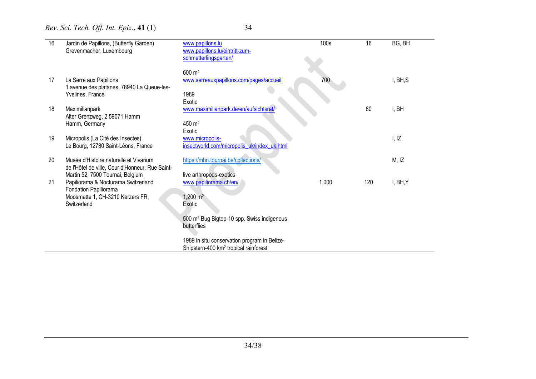| 16 | Jardin de Papillons, (Butterfly Garden)         | www.papillons.lu                                       | 100s  | 16  | BG, BH   |
|----|-------------------------------------------------|--------------------------------------------------------|-------|-----|----------|
|    | Grevenmacher, Luxembourg                        | www.papillons.lu/eintritt-zum-                         |       |     |          |
|    |                                                 | schmetterlingsgarten/                                  |       |     |          |
|    |                                                 |                                                        |       |     |          |
|    |                                                 | 600 m <sup>2</sup>                                     |       |     |          |
| 17 | La Serre aux Papillons                          | www.serreauxpapillons.com/pages/accueil                | 700   |     | I, BH, S |
|    |                                                 |                                                        |       |     |          |
|    | 1 avenue des platanes, 78940 La Queue-les-      |                                                        |       |     |          |
|    | Yvelines, France                                | 1989                                                   |       |     |          |
|    |                                                 | Exotic                                                 |       |     |          |
| 18 | Maximilianpark                                  | www.maximilianpark.de/en/aufsichtsrat/                 |       | 80  | I, BH    |
|    | Alter Grenzweg, 2 59071 Hamm                    |                                                        |       |     |          |
|    | Hamm, Germany                                   | 450 m <sup>2</sup>                                     |       |     |          |
|    |                                                 | Exotic                                                 |       |     |          |
| 19 | Micropolis (La Cité des Insectes)               | www.micropolis-                                        |       |     | I, IZ    |
|    | Le Bourg, 12780 Saint-Léons, France             | insectworld.com/micropolis_uk/index_uk.html            |       |     |          |
|    |                                                 |                                                        |       |     |          |
| 20 | Musée d'Histoire naturelle et Vivarium          | https://mhn.tournai.be/collections/                    |       |     | M, IZ    |
|    | de l'Hôtel de ville, Cour d'Honneur, Rue Saint- |                                                        |       |     |          |
|    | Martin 52, 7500 Tournai, Belgium                | live arthropods-exotics                                |       |     |          |
| 21 | Papiliorama & Nocturama Switzerland             | www.papiliorama.ch/en/                                 | 1,000 | 120 | I, BH, Y |
|    | Fondation Papiliorama                           |                                                        |       |     |          |
|    | Moosmatte 1, CH-3210 Kerzers FR,                | 1,200 $m2$                                             |       |     |          |
|    | Switzerland                                     |                                                        |       |     |          |
|    |                                                 | Exotic                                                 |       |     |          |
|    |                                                 |                                                        |       |     |          |
|    |                                                 | 500 m <sup>2</sup> Bug Bigtop-10 spp. Swiss indigenous |       |     |          |
|    |                                                 | butterflies                                            |       |     |          |
|    |                                                 |                                                        |       |     |          |
|    |                                                 | 1989 in situ conservation program in Belize-           |       |     |          |
|    |                                                 | Shipstern-400 km <sup>2</sup> tropical rainforest      |       |     |          |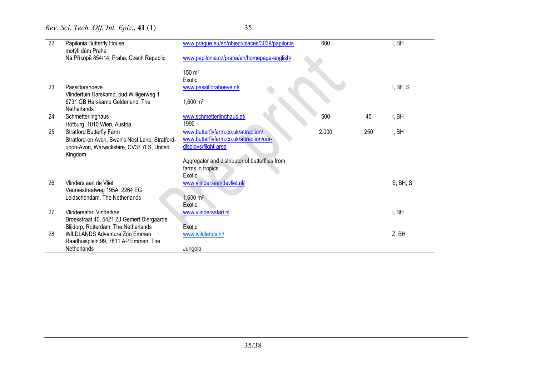| 22 | Papilonia Butterfly House<br>motýlí dům Praha                                                | www.prague.eu/en/object/places/3039/papilonia  | 600   |     | I, BH    |
|----|----------------------------------------------------------------------------------------------|------------------------------------------------|-------|-----|----------|
|    | Na Příkopě 854/14, Praha, Czech Republic                                                     | www.papilonia.cz/praha/en/homepage-english/    |       |     |          |
|    |                                                                                              | $150 \; \text{m}^2$                            |       |     |          |
|    |                                                                                              | Exotic                                         |       |     |          |
| 23 | Passiflorahoeve                                                                              | www.passiflorahoeve.nl/                        |       |     | I, BF, S |
|    | Vlindertuin Harskamp, oud Willigerweg 1                                                      |                                                |       |     |          |
|    | 6731 GB Harskamp Gelderland, The                                                             | $1,600 \text{ m}^2$                            |       |     |          |
|    | Netherlands                                                                                  |                                                |       |     |          |
| 24 | Schmetterlinghaus                                                                            | www.schmetterlinghaus.at/<br>1990              | 500   | 40  | I, BH    |
| 25 | Hofburg, 1010 Wien, Austria<br><b>Stratford Butterfly Farm</b>                               | www.butterflyfarm.co.uk/attraction/            | 2,000 | 250 | I, BH    |
|    |                                                                                              | www.butterflyfarm.co.uk/attraction/our-        |       |     |          |
|    | Stratford-on Avon, Swan's Nest Lane, Stratford-<br>upon-Avon, Warwickshire, CV37 7LS, United | displays/flight-area                           |       |     |          |
|    | Kingdom                                                                                      |                                                |       |     |          |
|    |                                                                                              | Aggregator and distributor of butterflies from |       |     |          |
|    |                                                                                              | farms in tropics                               |       |     |          |
|    |                                                                                              | <b>Exotic</b>                                  |       |     |          |
| 26 | Vlinders aan de Vliet                                                                        | www.vlindersaandevliet.nl/                     |       |     | S, BH, S |
|    | Veursestraatweg 195A, 2264 EG                                                                |                                                |       |     |          |
|    | Leidschendam, The Netherlands                                                                | $1,600 \text{ m}^2$                            |       |     |          |
|    |                                                                                              | Exotic                                         |       |     |          |
| 27 | Vlindersafari Vinderkas                                                                      | www.vlindersafari.nl                           |       |     | I, BH    |
|    | Broekstraat 40, 5421 ZJ Gemert Diergaarde<br>Blijdorp, Rotterdam, The Netherlands            | Exotic                                         |       |     |          |
| 28 | <b>WILDLANDS Adventure Zoo Emmen</b>                                                         | www.wildlands.nl/                              |       |     | Z, BH    |
|    | Raadhuisplein 99, 7811 AP Emmen, The                                                         |                                                |       |     |          |
|    | Netherlands                                                                                  | Jungola                                        |       |     |          |
|    |                                                                                              |                                                |       |     |          |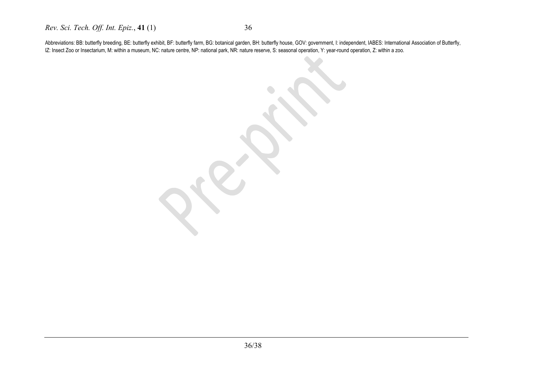Abbreviations: BB: butterfly breeding, BE: butterfly exhibit, BF: butterfly farm, BG: botanical garden, BH: butterfly house, GOV: government, I: independent, IABES: International Association of Butterfly, IZ: Insect Zoo or Insectarium, M: within a museum, NC: nature centre, NP: national park, NR: nature reserve, S: seasonal operation, Y: year-round operation, Z: within a zoo.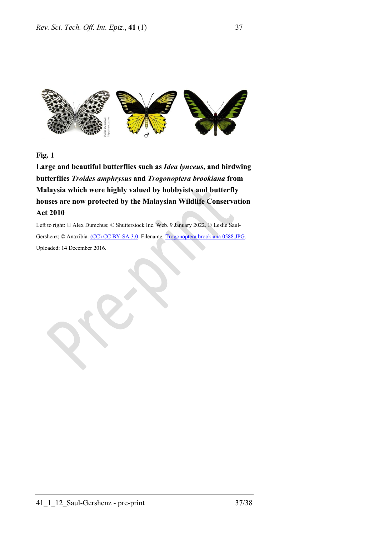

**Fig. 1**

**Large and beautiful butterflies such as** *Idea lynceus***, and birdwing butterflies** *Troides amphrysus* **and** *Trogonoptera brookiana* **from Malaysia which were highly valued by hobbyists and butterfly houses are now protected by the Malaysian Wildlife Conservation Act 2010**

Left to right: © Alex Dumchus; © Shutterstock Inc. Web. 9 January 2022. © Leslie Saul-Gershenz; © Anaxibia. [\(CC\) CC BY-SA 3.0.](https://creativecommons.org/licenses/by-sa/3.0/deed.en) Filename: [Trogonoptera brookiana 0588.JPG.](https://en.wikipedia.org/wiki/Trogonoptera_brookiana#/media/File:Trogonoptera_brookiana_0588.JPG)  Uploaded: 14 December 2016.